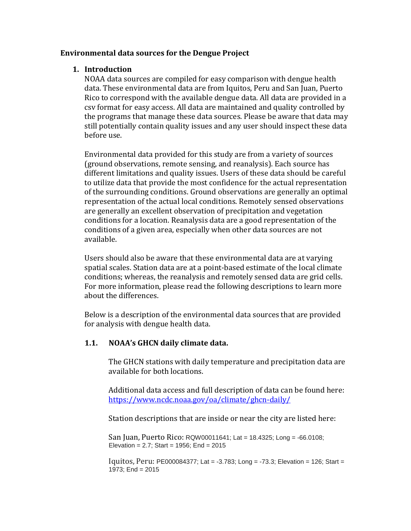## **Environmental data sources for the Dengue Project**

## **1. Introduction**

NOAA data sources are compiled for easy comparison with dengue health data. These environmental data are from Iquitos, Peru and San Juan, Puerto Rico to correspond with the available dengue data. All data are provided in a csv format for easy access. All data are maintained and quality controlled by the programs that manage these data sources. Please be aware that data may still potentially contain quality issues and any user should inspect these data before use.

Environmental data provided for this study are from a variety of sources (ground observations, remote sensing, and reanalysis). Each source has different limitations and quality issues. Users of these data should be careful to utilize data that provide the most confidence for the actual representation of the surrounding conditions. Ground observations are generally an optimal representation of the actual local conditions. Remotely sensed observations are generally an excellent observation of precipitation and vegetation conditions for a location. Reanalysis data are a good representation of the conditions of a given area, especially when other data sources are not available.

Users should also be aware that these environmental data are at varying spatial scales. Station data are at a point-based estimate of the local climate conditions; whereas, the reanalysis and remotely sensed data are grid cells. For more information, please read the following descriptions to learn more about the differences.

Below is a description of the environmental data sources that are provided for analysis with dengue health data.

# **1.1. NOAA's GHCN daily climate data.**

The GHCN stations with daily temperature and precipitation data are available for both locations.

Additional data access and full description of data can be found here: <https://www.ncdc.noaa.gov/oa/climate/ghcn-daily/>

Station descriptions that are inside or near the city are listed here:

San Juan, Puerto Rico: RQW00011641; Lat = 18.4325; Long = -66.0108; Elevation =  $2.7$ ; Start = 1956; End =  $2015$ 

Iquitos, Peru: PE000084377; Lat = -3.783; Long = -73.3; Elevation = 126; Start = 1973; End = 2015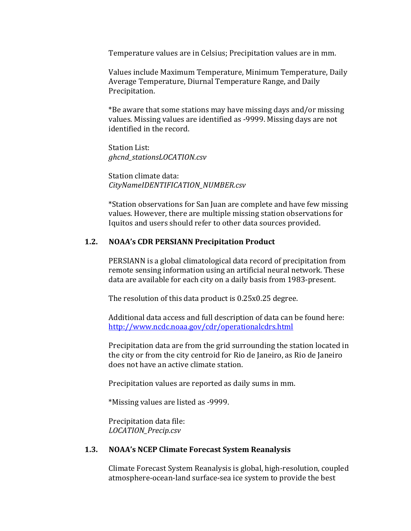Temperature values are in Celsius; Precipitation values are in mm.

Values include Maximum Temperature, Minimum Temperature, Daily Average Temperature, Diurnal Temperature Range, and Daily Precipitation.

\*Be aware that some stations may have missing days and/or missing values. Missing values are identified as -9999. Missing days are not identified in the record.

Station List: *ghcnd\_stationsLOCATION.csv*

Station climate data: *CityNameIDENTIFICATION\_NUMBER.csv*

\*Station observations for San Juan are complete and have few missing values. However, there are multiple missing station observations for Iquitos and users should refer to other data sources provided.

## **1.2. NOAA's CDR PERSIANN Precipitation Product**

PERSIANN is a global climatological data record of precipitation from remote sensing information using an artificial neural network. These data are available for each city on a daily basis from 1983-present.

The resolution of this data product is 0.25x0.25 degree.

Additional data access and full description of data can be found here: <http://www.ncdc.noaa.gov/cdr/operationalcdrs.html>

Precipitation data are from the grid surrounding the station located in the city or from the city centroid for Rio de Janeiro, as Rio de Janeiro does not have an active climate station.

Precipitation values are reported as daily sums in mm.

\*Missing values are listed as -9999.

Precipitation data file: *LOCATION\_Precip.csv*

#### **1.3. NOAA's NCEP Climate Forecast System Reanalysis**

Climate Forecast System Reanalysis is global, high-resolution, coupled atmosphere-ocean-land surface-sea ice system to provide the best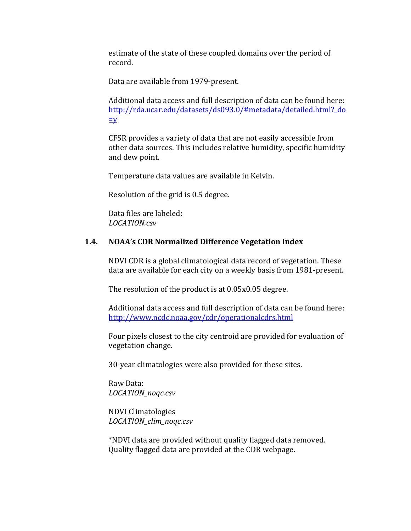estimate of the state of these coupled domains over the period of record.

Data are available from 1979-present.

Additional data access and full description of data can be found here: [http://rda.ucar.edu/datasets/ds093.0/#metadata/detailed.html?\\_do](http://rda.ucar.edu/datasets/ds093.0/%23metadata/detailed.html?_do=y)  $=y$ 

CFSR provides a variety of data that are not easily accessible from other data sources. This includes relative humidity, specific humidity and dew point.

Temperature data values are available in Kelvin.

Resolution of the grid is 0.5 degree.

Data files are labeled: *LOCATION.csv*

#### **1.4. NOAA's CDR Normalized Difference Vegetation Index**

NDVI CDR is a global climatological data record of vegetation. These data are available for each city on a weekly basis from 1981-present.

The resolution of the product is at 0.05x0.05 degree.

Additional data access and full description of data can be found here: <http://www.ncdc.noaa.gov/cdr/operationalcdrs.html>

Four pixels closest to the city centroid are provided for evaluation of vegetation change.

30-year climatologies were also provided for these sites.

Raw Data: *LOCATION\_noqc.csv*

NDVI Climatologies *LOCATION\_clim\_noqc.csv*

\*NDVI data are provided without quality flagged data removed. Quality flagged data are provided at the CDR webpage.